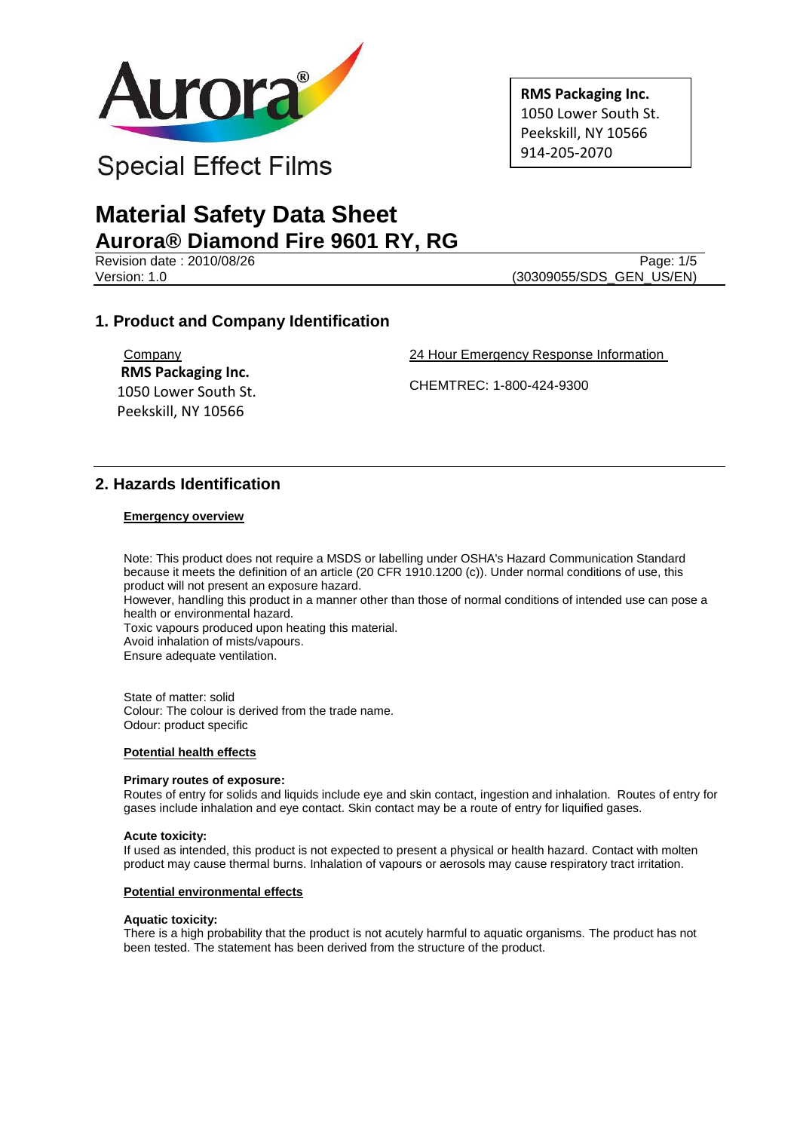

**RMS Packaging Inc.** 1050 Lower South St. Peekskill, NY 10566 914-205-2070

# **Material Safety Data Sheet Aurora® Diamond Fire 9601 RY, RG**

Revision date : 2010/08/26 Page: 1/5<br>Version: 1.0 (30309055/SDS GEN US/EN) (30309055/SDS\_GEN\_US/EN)

# **1. Product and Company Identification**

**Company RMS Packaging Inc.** 1050 Lower South St. Peekskill, NY 10566

24 Hour Emergency Response Information

CHEMTREC: 1-800-424-9300

## **2. Hazards Identification**

### **Emergency overview**

Note: This product does not require a MSDS or labelling under OSHA's Hazard Communication Standard because it meets the definition of an article (20 CFR 1910.1200 (c)). Under normal conditions of use, this product will not present an exposure hazard. However, handling this product in a manner other than those of normal conditions of intended use can pose a health or environmental hazard. Toxic vapours produced upon heating this material. Avoid inhalation of mists/vapours. Ensure adequate ventilation.

State of matter: solid Colour: The colour is derived from the trade name. Odour: product specific

#### **Potential health effects**

#### **Primary routes of exposure:**

Routes of entry for solids and liquids include eye and skin contact, ingestion and inhalation. Routes of entry for gases include inhalation and eye contact. Skin contact may be a route of entry for liquified gases.

#### **Acute toxicity:**

If used as intended, this product is not expected to present a physical or health hazard. Contact with molten product may cause thermal burns. Inhalation of vapours or aerosols may cause respiratory tract irritation.

#### **Potential environmental effects**

#### **Aquatic toxicity:**

There is a high probability that the product is not acutely harmful to aquatic organisms. The product has not been tested. The statement has been derived from the structure of the product.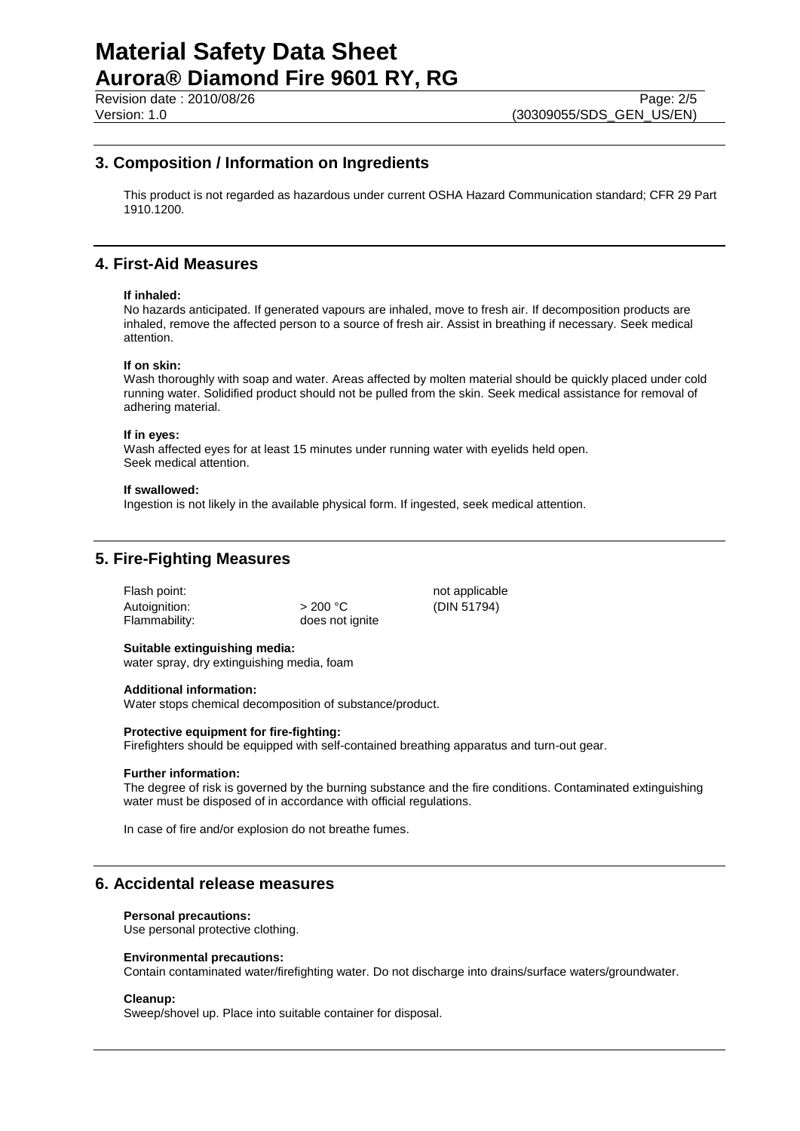Revision date : 2010/08/26 Page: 2/5<br>Version: 1.0 (30309055/SDS GEN US/EN) (30309055/SDS\_GEN\_US/EN)

## **3. Composition / Information on Ingredients**

This product is not regarded as hazardous under current OSHA Hazard Communication standard; CFR 29 Part 1910.1200.

# **4. First-Aid Measures**

#### **If inhaled:**

No hazards anticipated. If generated vapours are inhaled, move to fresh air. If decomposition products are inhaled, remove the affected person to a source of fresh air. Assist in breathing if necessary. Seek medical attention.

#### **If on skin:**

Wash thoroughly with soap and water. Areas affected by molten material should be quickly placed under cold running water. Solidified product should not be pulled from the skin. Seek medical assistance for removal of adhering material.

### **If in eyes:**

Wash affected eyes for at least 15 minutes under running water with eyelids held open. Seek medical attention.

#### **If swallowed:**

Ingestion is not likely in the available physical form. If ingested, seek medical attention.

## **5. Fire-Fighting Measures**

| >200 °C         |
|-----------------|
| does not ignite |
|                 |

not applicable (DIN 51794)

## **Suitable extinguishing media:**

water spray, dry extinguishing media, foam

#### **Additional information:**

Water stops chemical decomposition of substance/product.

#### **Protective equipment for fire-fighting:**

Firefighters should be equipped with self-contained breathing apparatus and turn-out gear.

#### **Further information:**

The degree of risk is governed by the burning substance and the fire conditions. Contaminated extinguishing water must be disposed of in accordance with official regulations.

In case of fire and/or explosion do not breathe fumes.

## **6. Accidental release measures**

#### **Personal precautions:**

Use personal protective clothing.

#### **Environmental precautions:**

Contain contaminated water/firefighting water. Do not discharge into drains/surface waters/groundwater.

#### **Cleanup:**

Sweep/shovel up. Place into suitable container for disposal.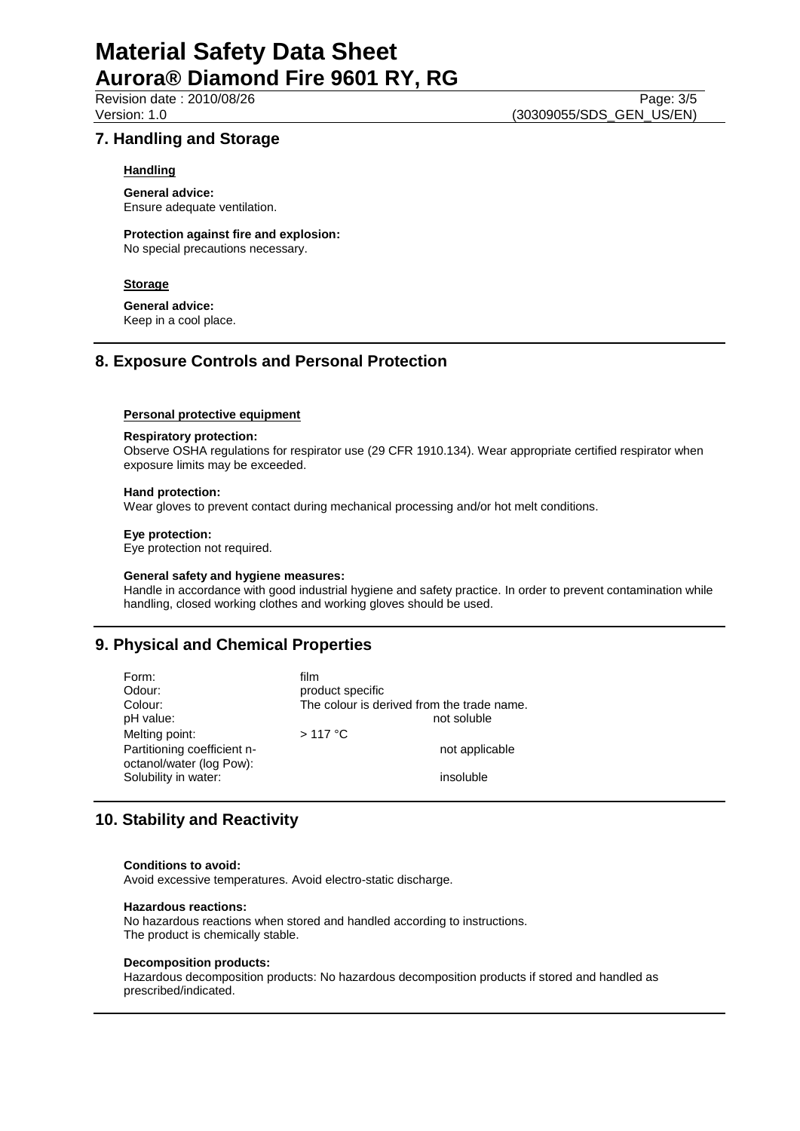## **7. Handling and Storage**

### **Handling**

**General advice:** Ensure adequate ventilation.

**Protection against fire and explosion:** No special precautions necessary.

## **Storage**

**General advice:** Keep in a cool place.

## **8. Exposure Controls and Personal Protection**

#### **Personal protective equipment**

#### **Respiratory protection:**

Observe OSHA regulations for respirator use (29 CFR 1910.134). Wear appropriate certified respirator when exposure limits may be exceeded.

### **Hand protection:**

Wear gloves to prevent contact during mechanical processing and/or hot melt conditions.

#### **Eye protection:**

Eye protection not required.

#### **General safety and hygiene measures:**

Handle in accordance with good industrial hygiene and safety practice. In order to prevent contamination while handling, closed working clothes and working gloves should be used.

# **9. Physical and Chemical Properties**

| Form:<br>Odour:<br>Colour:<br>pH value:<br>Melting point:<br>Partitioning coefficient n-<br>octanol/water (log Pow): | film<br>product specific<br>The colour is derived from the trade name.<br>not soluble<br>$>117$ °C<br>not applicable |
|----------------------------------------------------------------------------------------------------------------------|----------------------------------------------------------------------------------------------------------------------|
| Solubility in water:                                                                                                 | insoluble                                                                                                            |

## **10. Stability and Reactivity**

#### **Conditions to avoid:**

Avoid excessive temperatures. Avoid electro-static discharge.

#### **Hazardous reactions:**

No hazardous reactions when stored and handled according to instructions. The product is chemically stable.

#### **Decomposition products:**

Hazardous decomposition products: No hazardous decomposition products if stored and handled as prescribed/indicated.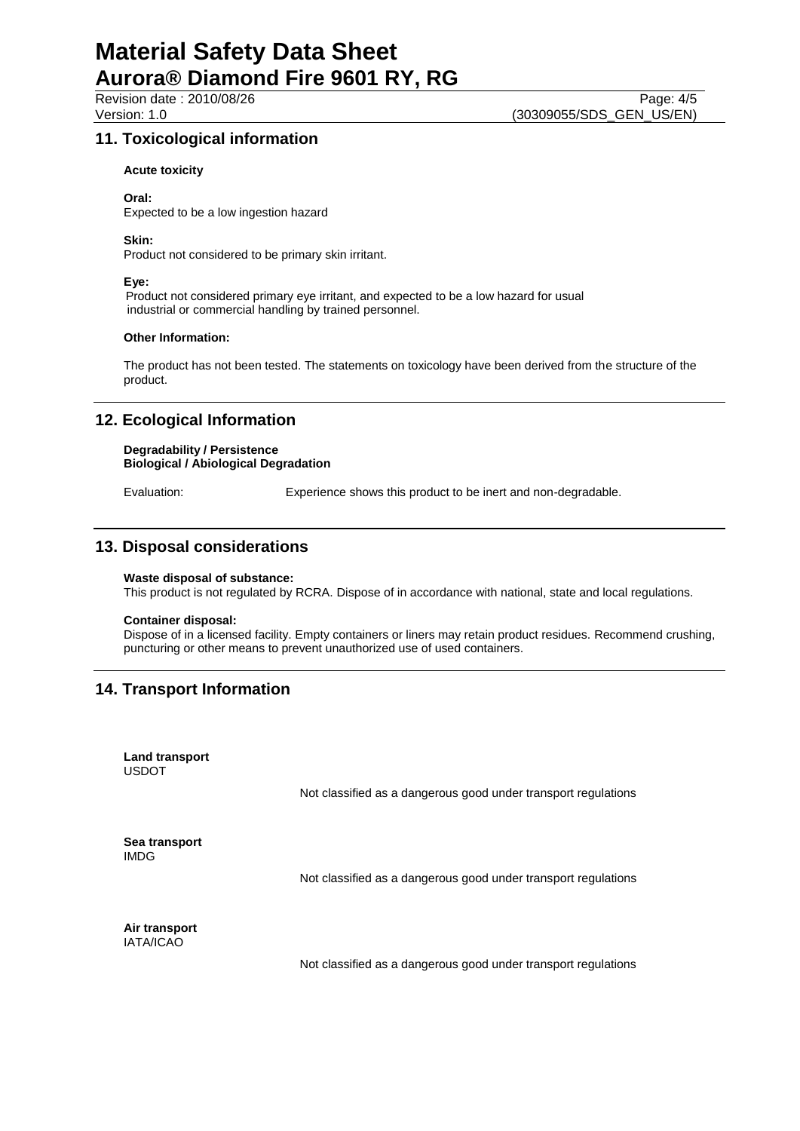## **11. Toxicological information**

### **Acute toxicity**

#### **Oral:**

Expected to be a low ingestion hazard

### **Skin:**

Product not considered to be primary skin irritant.

#### **Eye:**

 Product not considered primary eye irritant, and expected to be a low hazard for usual industrial or commercial handling by trained personnel.

#### **Other Information:**

The product has not been tested. The statements on toxicology have been derived from the structure of the product.

## **12. Ecological Information**

#### **Degradability / Persistence Biological / Abiological Degradation**

Evaluation: Experience shows this product to be inert and non-degradable.

## **13. Disposal considerations**

#### **Waste disposal of substance:**

This product is not regulated by RCRA. Dispose of in accordance with national, state and local regulations.

#### **Container disposal:**

Dispose of in a licensed facility. Empty containers or liners may retain product residues. Recommend crushing, puncturing or other means to prevent unauthorized use of used containers.

# **14. Transport Information**

**Land transport** USDOT

Not classified as a dangerous good under transport regulations

**Sea transport** IMDG

Not classified as a dangerous good under transport regulations

**Air transport** IATA/ICAO

Not classified as a dangerous good under transport regulations